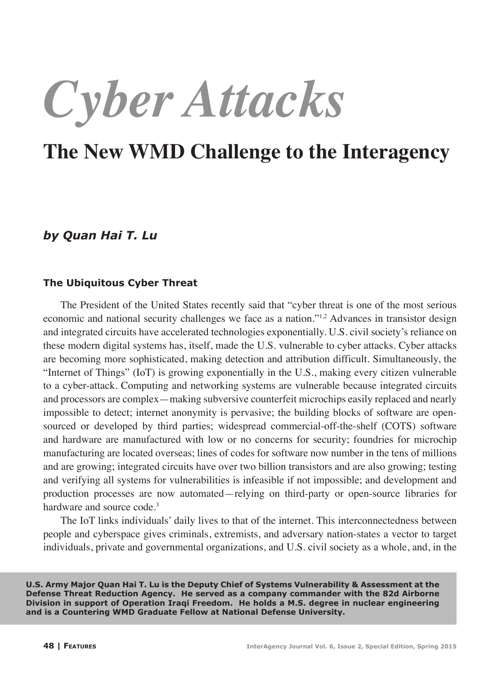*Cyber Attacks*

# **The New WMD Challenge to the Interagency**

# *by Quan Hai T. Lu*

#### **The Ubiquitous Cyber Threat**

The President of the United States recently said that "cyber threat is one of the most serious economic and national security challenges we face as a nation.<sup> $n/2$ </sup> Advances in transistor design and integrated circuits have accelerated technologies exponentially. U.S. civil society's reliance on these modern digital systems has, itself, made the U.S. vulnerable to cyber attacks. Cyber attacks are becoming more sophisticated, making detection and attribution difficult. Simultaneously, the "Internet of Things" (IoT) is growing exponentially in the U.S., making every citizen vulnerable to a cyber-attack. Computing and networking systems are vulnerable because integrated circuits and processors are complex—making subversive counterfeit microchips easily replaced and nearly impossible to detect; internet anonymity is pervasive; the building blocks of software are opensourced or developed by third parties; widespread commercial-off-the-shelf (COTS) software and hardware are manufactured with low or no concerns for security; foundries for microchip manufacturing are located overseas; lines of codes for software now number in the tens of millions and are growing; integrated circuits have over two billion transistors and are also growing; testing and verifying all systems for vulnerabilities is infeasible if not impossible; and development and production processes are now automated—relying on third-party or open-source libraries for hardware and source code.<sup>3</sup>

The IoT links individuals' daily lives to that of the internet. This interconnectedness between people and cyberspace gives criminals, extremists, and adversary nation-states a vector to target individuals, private and governmental organizations, and U.S. civil society as a whole, and, in the

**U.S. Army Major Quan Hai T. Lu is the Deputy Chief of Systems Vulnerability & Assessment at the Defense Threat Reduction Agency. He served as a company commander with the 82d Airborne Division in support of Operation Iraqi Freedom. He holds a M.S. degree in nuclear engineering and is a Countering WMD Graduate Fellow at National Defense University.**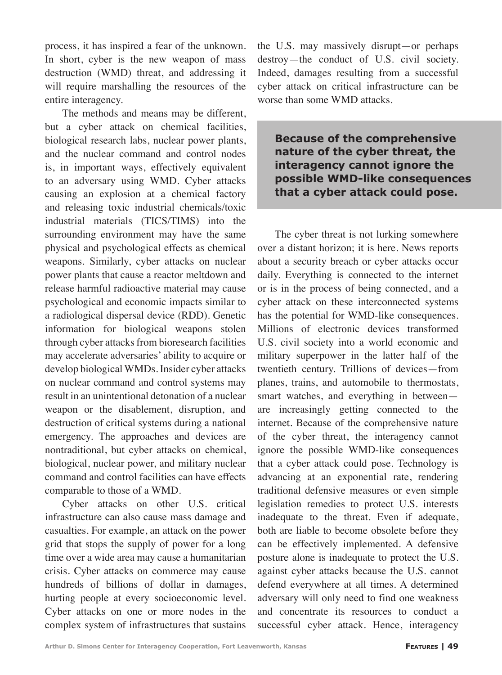process, it has inspired a fear of the unknown. In short, cyber is the new weapon of mass destruction (WMD) threat, and addressing it will require marshalling the resources of the entire interagency.

The methods and means may be different, but a cyber attack on chemical facilities, biological research labs, nuclear power plants, and the nuclear command and control nodes is, in important ways, effectively equivalent to an adversary using WMD. Cyber attacks causing an explosion at a chemical factory and releasing toxic industrial chemicals/toxic industrial materials (TICS/TIMS) into the surrounding environment may have the same physical and psychological effects as chemical weapons. Similarly, cyber attacks on nuclear power plants that cause a reactor meltdown and release harmful radioactive material may cause psychological and economic impacts similar to a radiological dispersal device (RDD). Genetic information for biological weapons stolen through cyber attacks from bioresearch facilities may accelerate adversaries' ability to acquire or develop biological WMDs. Insider cyber attacks on nuclear command and control systems may result in an unintentional detonation of a nuclear weapon or the disablement, disruption, and destruction of critical systems during a national emergency. The approaches and devices are nontraditional, but cyber attacks on chemical, biological, nuclear power, and military nuclear command and control facilities can have effects comparable to those of a WMD.

Cyber attacks on other U.S. critical infrastructure can also cause mass damage and casualties. For example, an attack on the power grid that stops the supply of power for a long time over a wide area may cause a humanitarian crisis. Cyber attacks on commerce may cause hundreds of billions of dollar in damages, hurting people at every socioeconomic level. Cyber attacks on one or more nodes in the complex system of infrastructures that sustains the U.S. may massively disrupt—or perhaps destroy—the conduct of U.S. civil society. Indeed, damages resulting from a successful cyber attack on critical infrastructure can be worse than some WMD attacks.

**Because of the comprehensive nature of the cyber threat, the interagency cannot ignore the possible WMD-like consequences that a cyber attack could pose.**

The cyber threat is not lurking somewhere over a distant horizon; it is here. News reports about a security breach or cyber attacks occur daily. Everything is connected to the internet or is in the process of being connected, and a cyber attack on these interconnected systems has the potential for WMD-like consequences. Millions of electronic devices transformed U.S. civil society into a world economic and military superpower in the latter half of the twentieth century. Trillions of devices—from planes, trains, and automobile to thermostats, smart watches, and everything in between are increasingly getting connected to the internet. Because of the comprehensive nature of the cyber threat, the interagency cannot ignore the possible WMD-like consequences that a cyber attack could pose. Technology is advancing at an exponential rate, rendering traditional defensive measures or even simple legislation remedies to protect U.S. interests inadequate to the threat. Even if adequate, both are liable to become obsolete before they can be effectively implemented. A defensive posture alone is inadequate to protect the U.S. against cyber attacks because the U.S. cannot defend everywhere at all times. A determined adversary will only need to find one weakness and concentrate its resources to conduct a successful cyber attack. Hence, interagency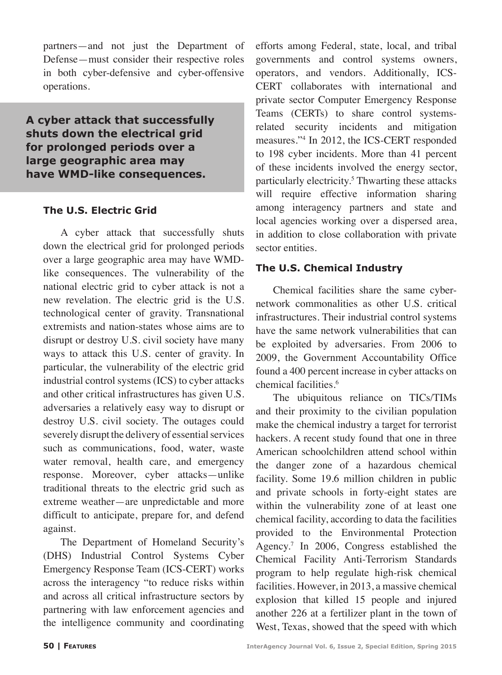partners—and not just the Department of Defense—must consider their respective roles in both cyber-defensive and cyber-offensive operations.

**A cyber attack that successfully shuts down the electrical grid for prolonged periods over a large geographic area may have WMD-like consequences.**

## **The U.S. Electric Grid**

A cyber attack that successfully shuts down the electrical grid for prolonged periods over a large geographic area may have WMDlike consequences. The vulnerability of the national electric grid to cyber attack is not a new revelation. The electric grid is the U.S. technological center of gravity. Transnational extremists and nation-states whose aims are to disrupt or destroy U.S. civil society have many ways to attack this U.S. center of gravity. In particular, the vulnerability of the electric grid industrial control systems (ICS) to cyber attacks and other critical infrastructures has given U.S. adversaries a relatively easy way to disrupt or destroy U.S. civil society. The outages could severely disrupt the delivery of essential services such as communications, food, water, waste water removal, health care, and emergency response. Moreover, cyber attacks—unlike traditional threats to the electric grid such as extreme weather—are unpredictable and more difficult to anticipate, prepare for, and defend against.

The Department of Homeland Security's (DHS) Industrial Control Systems Cyber Emergency Response Team (ICS-CERT) works across the interagency "to reduce risks within and across all critical infrastructure sectors by partnering with law enforcement agencies and the intelligence community and coordinating

efforts among Federal, state, local, and tribal governments and control systems owners, operators, and vendors. Additionally, ICS-CERT collaborates with international and private sector Computer Emergency Response Teams (CERTs) to share control systemsrelated security incidents and mitigation measures."4 In 2012, the ICS-CERT responded to 198 cyber incidents. More than 41 percent of these incidents involved the energy sector, particularly electricity.<sup>5</sup> Thwarting these attacks will require effective information sharing among interagency partners and state and local agencies working over a dispersed area, in addition to close collaboration with private sector entities.

## **The U.S. Chemical Industry**

Chemical facilities share the same cybernetwork commonalities as other U.S. critical infrastructures. Their industrial control systems have the same network vulnerabilities that can be exploited by adversaries. From 2006 to 2009, the Government Accountability Office found a 400 percent increase in cyber attacks on chemical facilities.<sup>6</sup>

The ubiquitous reliance on TICs/TIMs and their proximity to the civilian population make the chemical industry a target for terrorist hackers. A recent study found that one in three American schoolchildren attend school within the danger zone of a hazardous chemical facility. Some 19.6 million children in public and private schools in forty-eight states are within the vulnerability zone of at least one chemical facility, according to data the facilities provided to the Environmental Protection Agency.<sup>7</sup> In 2006, Congress established the Chemical Facility Anti-Terrorism Standards program to help regulate high-risk chemical facilities. However, in 2013, a massive chemical explosion that killed 15 people and injured another 226 at a fertilizer plant in the town of West, Texas, showed that the speed with which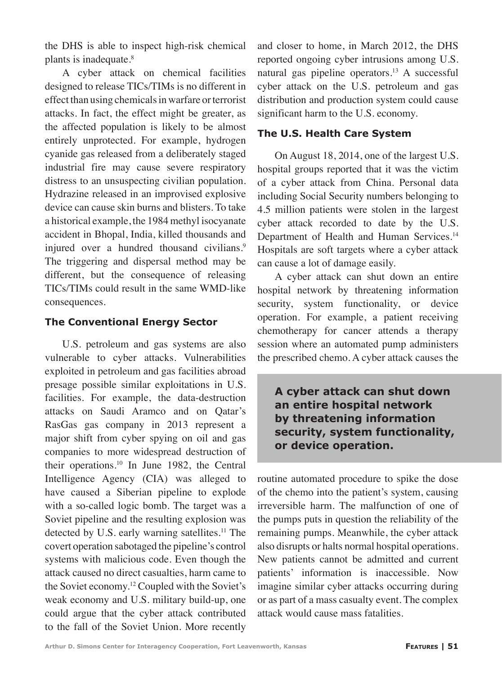the DHS is able to inspect high-risk chemical plants is inadequate.<sup>8</sup>

A cyber attack on chemical facilities designed to release TICs/TIMs is no different in effect than using chemicals in warfare or terrorist attacks. In fact, the effect might be greater, as the affected population is likely to be almost entirely unprotected. For example, hydrogen cyanide gas released from a deliberately staged industrial fire may cause severe respiratory distress to an unsuspecting civilian population. Hydrazine released in an improvised explosive device can cause skin burns and blisters. To take a historical example, the 1984 methyl isocyanate accident in Bhopal, India, killed thousands and injured over a hundred thousand civilians.<sup>9</sup> The triggering and dispersal method may be different, but the consequence of releasing TICs/TIMs could result in the same WMD-like consequences.

#### **The Conventional Energy Sector**

U.S. petroleum and gas systems are also vulnerable to cyber attacks. Vulnerabilities exploited in petroleum and gas facilities abroad presage possible similar exploitations in U.S. facilities. For example, the data-destruction attacks on Saudi Aramco and on Qatar's RasGas gas company in 2013 represent a major shift from cyber spying on oil and gas companies to more widespread destruction of their operations.10 In June 1982, the Central Intelligence Agency (CIA) was alleged to have caused a Siberian pipeline to explode with a so-called logic bomb. The target was a Soviet pipeline and the resulting explosion was detected by U.S. early warning satellites.<sup>11</sup> The covert operation sabotaged the pipeline's control systems with malicious code. Even though the attack caused no direct casualties, harm came to the Soviet economy.<sup>12</sup> Coupled with the Soviet's weak economy and U.S. military build-up, one could argue that the cyber attack contributed to the fall of the Soviet Union. More recently and closer to home, in March 2012, the DHS reported ongoing cyber intrusions among U.S. natural gas pipeline operators.<sup>13</sup> A successful cyber attack on the U.S. petroleum and gas distribution and production system could cause significant harm to the U.S. economy.

### **The U.S. Health Care System**

On August 18, 2014, one of the largest U.S. hospital groups reported that it was the victim of a cyber attack from China. Personal data including Social Security numbers belonging to 4.5 million patients were stolen in the largest cyber attack recorded to date by the U.S. Department of Health and Human Services.<sup>14</sup> Hospitals are soft targets where a cyber attack can cause a lot of damage easily.

A cyber attack can shut down an entire hospital network by threatening information security, system functionality, or device operation. For example, a patient receiving chemotherapy for cancer attends a therapy session where an automated pump administers the prescribed chemo. A cyber attack causes the

**A cyber attack can shut down an entire hospital network by threatening information security, system functionality, or device operation.**

routine automated procedure to spike the dose of the chemo into the patient's system, causing irreversible harm. The malfunction of one of the pumps puts in question the reliability of the remaining pumps. Meanwhile, the cyber attack also disrupts or halts normal hospital operations. New patients cannot be admitted and current patients' information is inaccessible. Now imagine similar cyber attacks occurring during or as part of a mass casualty event. The complex attack would cause mass fatalities.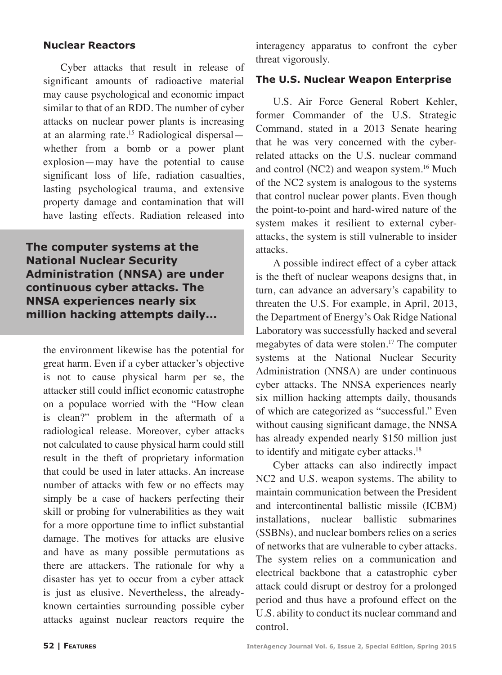#### **Nuclear Reactors**

Cyber attacks that result in release of significant amounts of radioactive material may cause psychological and economic impact similar to that of an RDD. The number of cyber attacks on nuclear power plants is increasing at an alarming rate.<sup>15</sup> Radiological dispersal whether from a bomb or a power plant explosion—may have the potential to cause significant loss of life, radiation casualties, lasting psychological trauma, and extensive property damage and contamination that will have lasting effects. Radiation released into

**The computer systems at the National Nuclear Security Administration (NNSA) are under continuous cyber attacks. The NNSA experiences nearly six million hacking attempts daily...**

the environment likewise has the potential for great harm. Even if a cyber attacker's objective is not to cause physical harm per se, the attacker still could inflict economic catastrophe on a populace worried with the "How clean is clean?" problem in the aftermath of a radiological release. Moreover, cyber attacks not calculated to cause physical harm could still result in the theft of proprietary information that could be used in later attacks. An increase number of attacks with few or no effects may simply be a case of hackers perfecting their skill or probing for vulnerabilities as they wait for a more opportune time to inflict substantial damage. The motives for attacks are elusive and have as many possible permutations as there are attackers. The rationale for why a disaster has yet to occur from a cyber attack is just as elusive. Nevertheless, the alreadyknown certainties surrounding possible cyber attacks against nuclear reactors require the interagency apparatus to confront the cyber threat vigorously.

#### **The U.S. Nuclear Weapon Enterprise**

U.S. Air Force General Robert Kehler, former Commander of the U.S. Strategic Command, stated in a 2013 Senate hearing that he was very concerned with the cyberrelated attacks on the U.S. nuclear command and control (NC2) and weapon system.<sup>16</sup> Much of the NC2 system is analogous to the systems that control nuclear power plants. Even though the point-to-point and hard-wired nature of the system makes it resilient to external cyberattacks, the system is still vulnerable to insider attacks.

A possible indirect effect of a cyber attack is the theft of nuclear weapons designs that, in turn, can advance an adversary's capability to threaten the U.S. For example, in April, 2013, the Department of Energy's Oak Ridge National Laboratory was successfully hacked and several megabytes of data were stolen.<sup>17</sup> The computer systems at the National Nuclear Security Administration (NNSA) are under continuous cyber attacks. The NNSA experiences nearly six million hacking attempts daily, thousands of which are categorized as "successful." Even without causing significant damage, the NNSA has already expended nearly \$150 million just to identify and mitigate cyber attacks.<sup>18</sup>

Cyber attacks can also indirectly impact NC2 and U.S. weapon systems. The ability to maintain communication between the President and intercontinental ballistic missile (ICBM) installations, nuclear ballistic submarines (SSBNs), and nuclear bombers relies on a series of networks that are vulnerable to cyber attacks. The system relies on a communication and electrical backbone that a catastrophic cyber attack could disrupt or destroy for a prolonged period and thus have a profound effect on the U.S. ability to conduct its nuclear command and control.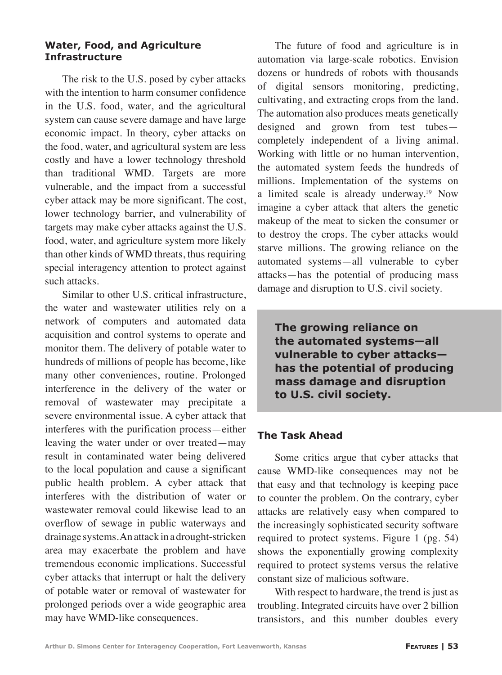#### **Water, Food, and Agriculture Infrastructure**

The risk to the U.S. posed by cyber attacks with the intention to harm consumer confidence in the U.S. food, water, and the agricultural system can cause severe damage and have large economic impact. In theory, cyber attacks on the food, water, and agricultural system are less costly and have a lower technology threshold than traditional WMD. Targets are more vulnerable, and the impact from a successful cyber attack may be more significant. The cost, lower technology barrier, and vulnerability of targets may make cyber attacks against the U.S. food, water, and agriculture system more likely than other kinds of WMD threats, thus requiring special interagency attention to protect against such attacks.

Similar to other U.S. critical infrastructure, the water and wastewater utilities rely on a network of computers and automated data acquisition and control systems to operate and monitor them. The delivery of potable water to hundreds of millions of people has become, like many other conveniences, routine. Prolonged interference in the delivery of the water or removal of wastewater may precipitate a severe environmental issue. A cyber attack that interferes with the purification process—either leaving the water under or over treated—may result in contaminated water being delivered to the local population and cause a significant public health problem. A cyber attack that interferes with the distribution of water or wastewater removal could likewise lead to an overflow of sewage in public waterways and drainage systems. An attack in a drought-stricken area may exacerbate the problem and have tremendous economic implications. Successful cyber attacks that interrupt or halt the delivery of potable water or removal of wastewater for prolonged periods over a wide geographic area may have WMD-like consequences.

The future of food and agriculture is in automation via large-scale robotics. Envision dozens or hundreds of robots with thousands of digital sensors monitoring, predicting, cultivating, and extracting crops from the land. The automation also produces meats genetically designed and grown from test tubes completely independent of a living animal. Working with little or no human intervention, the automated system feeds the hundreds of millions. Implementation of the systems on a limited scale is already underway.<sup>19</sup> Now imagine a cyber attack that alters the genetic makeup of the meat to sicken the consumer or to destroy the crops. The cyber attacks would starve millions. The growing reliance on the automated systems—all vulnerable to cyber attacks—has the potential of producing mass damage and disruption to U.S. civil society.

**The growing reliance on the automated systems—all vulnerable to cyber attacks has the potential of producing mass damage and disruption to U.S. civil society.**

#### **The Task Ahead**

Some critics argue that cyber attacks that cause WMD-like consequences may not be that easy and that technology is keeping pace to counter the problem. On the contrary, cyber attacks are relatively easy when compared to the increasingly sophisticated security software required to protect systems. Figure 1 (pg. 54) shows the exponentially growing complexity required to protect systems versus the relative constant size of malicious software.

With respect to hardware, the trend is just as troubling. Integrated circuits have over 2 billion transistors, and this number doubles every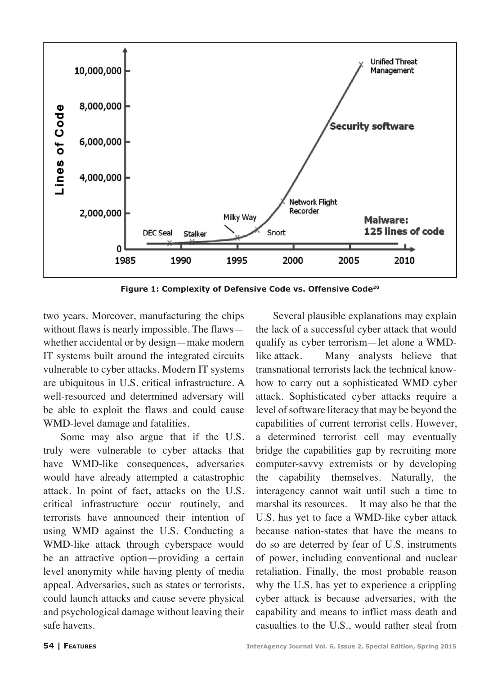

**Figure 1: Complexity of Defensive Code vs. Offensive Code20**

two years. Moreover, manufacturing the chips without flaws is nearly impossible. The flaws whether accidental or by design—make modern IT systems built around the integrated circuits vulnerable to cyber attacks. Modern IT systems are ubiquitous in U.S. critical infrastructure. A well-resourced and determined adversary will be able to exploit the flaws and could cause WMD-level damage and fatalities.

Some may also argue that if the U.S. truly were vulnerable to cyber attacks that have WMD-like consequences, adversaries would have already attempted a catastrophic attack. In point of fact, attacks on the U.S. critical infrastructure occur routinely, and terrorists have announced their intention of using WMD against the U.S. Conducting a WMD-like attack through cyberspace would be an attractive option—providing a certain level anonymity while having plenty of media appeal. Adversaries, such as states or terrorists, could launch attacks and cause severe physical and psychological damage without leaving their safe havens.

Several plausible explanations may explain the lack of a successful cyber attack that would qualify as cyber terrorism—let alone a WMDlike attack. Many analysts believe that transnational terrorists lack the technical knowhow to carry out a sophisticated WMD cyber attack. Sophisticated cyber attacks require a level of software literacy that may be beyond the capabilities of current terrorist cells. However, a determined terrorist cell may eventually bridge the capabilities gap by recruiting more computer-savvy extremists or by developing the capability themselves. Naturally, the interagency cannot wait until such a time to marshal its resources. It may also be that the U.S. has yet to face a WMD-like cyber attack because nation-states that have the means to do so are deterred by fear of U.S. instruments of power, including conventional and nuclear retaliation. Finally, the most probable reason why the U.S. has yet to experience a crippling cyber attack is because adversaries, with the capability and means to inflict mass death and casualties to the U.S., would rather steal from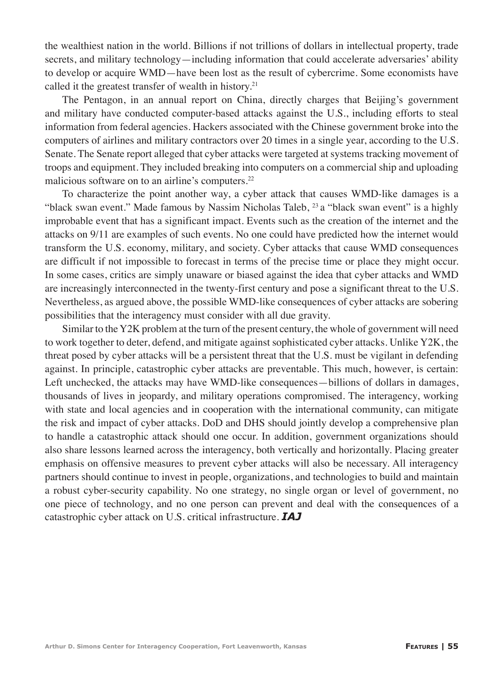the wealthiest nation in the world. Billions if not trillions of dollars in intellectual property, trade secrets, and military technology—including information that could accelerate adversaries' ability to develop or acquire WMD—have been lost as the result of cybercrime. Some economists have called it the greatest transfer of wealth in history.<sup>21</sup>

The Pentagon, in an annual report on China, directly charges that Beijing's government and military have conducted computer-based attacks against the U.S., including efforts to steal information from federal agencies. Hackers associated with the Chinese government broke into the computers of airlines and military contractors over 20 times in a single year, according to the U.S. Senate. The Senate report alleged that cyber attacks were targeted at systems tracking movement of troops and equipment. They included breaking into computers on a commercial ship and uploading malicious software on to an airline's computers.<sup>22</sup>

To characterize the point another way, a cyber attack that causes WMD-like damages is a "black swan event." Made famous by Nassim Nicholas Taleb,  $^{23}$  a "black swan event" is a highly improbable event that has a significant impact. Events such as the creation of the internet and the attacks on 9/11 are examples of such events. No one could have predicted how the internet would transform the U.S. economy, military, and society. Cyber attacks that cause WMD consequences are difficult if not impossible to forecast in terms of the precise time or place they might occur. In some cases, critics are simply unaware or biased against the idea that cyber attacks and WMD are increasingly interconnected in the twenty-first century and pose a significant threat to the U.S. Nevertheless, as argued above, the possible WMD-like consequences of cyber attacks are sobering possibilities that the interagency must consider with all due gravity.

Similar to the Y2K problem at the turn of the present century, the whole of government will need to work together to deter, defend, and mitigate against sophisticated cyber attacks. Unlike Y2K, the threat posed by cyber attacks will be a persistent threat that the U.S. must be vigilant in defending against. In principle, catastrophic cyber attacks are preventable. This much, however, is certain: Left unchecked, the attacks may have WMD-like consequences—billions of dollars in damages, thousands of lives in jeopardy, and military operations compromised. The interagency, working with state and local agencies and in cooperation with the international community, can mitigate the risk and impact of cyber attacks. DoD and DHS should jointly develop a comprehensive plan to handle a catastrophic attack should one occur. In addition, government organizations should also share lessons learned across the interagency, both vertically and horizontally. Placing greater emphasis on offensive measures to prevent cyber attacks will also be necessary. All interagency partners should continue to invest in people, organizations, and technologies to build and maintain a robust cyber-security capability. No one strategy, no single organ or level of government, no one piece of technology, and no one person can prevent and deal with the consequences of a catastrophic cyber attack on U.S. critical infrastructure. *IAJ*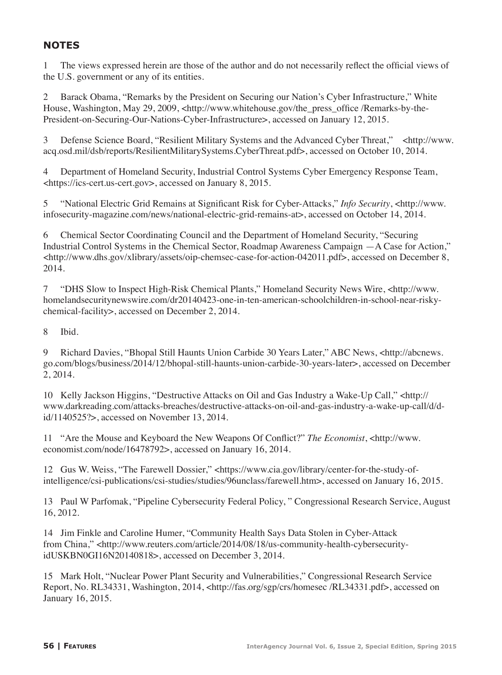## **NOTES**

1 The views expressed herein are those of the author and do not necessarily reflect the official views of the U.S. government or any of its entities.

2 Barack Obama, "Remarks by the President on Securing our Nation's Cyber Infrastructure," White House, Washington, May 29, 2009, <http://www.whitehouse.gov/the\_press\_office /Remarks-by-the-President-on-Securing-Our-Nations-Cyber-Infrastructure>, accessed on January 12, 2015.

3 Defense Science Board, "Resilient Military Systems and the Advanced Cyber Threat," <http://www. acq.osd.mil/dsb/reports/ResilientMilitarySystems.CyberThreat.pdf>, accessed on October 10, 2014.

4 Department of Homeland Security, Industrial Control Systems Cyber Emergency Response Team, <https://ics-cert.us-cert.gov>, accessed on January 8, 2015.

5 "National Electric Grid Remains at Significant Risk for Cyber-Attacks," *Info Security*, <http://www. infosecurity-magazine.com/news/national-electric-grid-remains-at>, accessed on October 14, 2014.

6 Chemical Sector Coordinating Council and the Department of Homeland Security, "Securing Industrial Control Systems in the Chemical Sector, Roadmap Awareness Campaign —A Case for Action," <http://www.dhs.gov/xlibrary/assets/oip-chemsec-case-for-action-042011.pdf>, accessed on December 8, 2014.

7 "DHS Slow to Inspect High-Risk Chemical Plants," Homeland Security News Wire, <http://www. homelandsecuritynewswire.com/dr20140423-one-in-ten-american-schoolchildren-in-school-near-riskychemical-facility>, accessed on December 2, 2014.

8 Ibid.

9 Richard Davies, "Bhopal Still Haunts Union Carbide 30 Years Later," ABC News, <http://abcnews. go.com/blogs/business/2014/12/bhopal-still-haunts-union-carbide-30-years-later>, accessed on December 2, 2014.

10 Kelly Jackson Higgins, "Destructive Attacks on Oil and Gas Industry a Wake-Up Call," <http:// www.darkreading.com/attacks-breaches/destructive-attacks-on-oil-and-gas-industry-a-wake-up-call/d/did/1140525?>, accessed on November 13, 2014.

11 "Are the Mouse and Keyboard the New Weapons Of Conflict?" *The Economist*, <http://www. economist.com/node/16478792>, accessed on January 16, 2014.

12 Gus W. Weiss, "The Farewell Dossier," <https://www.cia.gov/library/center-for-the-study-ofintelligence/csi-publications/csi-studies/studies/96unclass/farewell.htm>, accessed on January 16, 2015.

13 Paul W Parfomak, "Pipeline Cybersecurity Federal Policy, " Congressional Research Service, August 16, 2012.

14 Jim Finkle and Caroline Humer, "Community Health Says Data Stolen in Cyber-Attack from China," <http://www.reuters.com/article/2014/08/18/us-community-health-cybersecurityidUSKBN0GI16N20140818>, accessed on December 3, 2014.

15 Mark Holt, "Nuclear Power Plant Security and Vulnerabilities," Congressional Research Service Report, No. RL34331, Washington, 2014, <http://fas.org/sgp/crs/homesec /RL34331.pdf>, accessed on January 16, 2015.